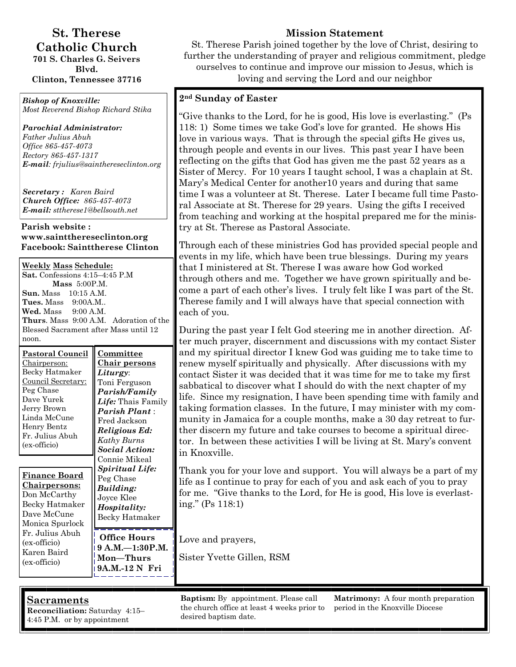#### **St. Therese Catholic Church 701 S. Charles G. Seivers**

**Blvd. Clinton, Tennessee 37716** 

*Bishop of Knoxville: Most Reverend Bishop Richard Stika*

*Parochial Administrator: Father Julius Abuh Office 865-457-4073 Rectory 865-457-1317 E-mail: frjulius@sainthereseclinton.org*

*Secretary : Karen Baird Church Office: 865-457-4073 E-mail: sttherese1@bellsouth.net* 

#### **Parish website : www.saintthereseclinton.org Facebook: Sainttherese Clinton**

**Weekly Mass Schedule: Sat.** Confessions 4:15–4:45 P.M **Mass** 5:00P.M. **Sun.** Mass 10:15 A.M. **Tues.** Mass 9:00A.M.. **Wed.** Mass 9:00 A.M. **Thurs**. Mass 9:00 A.M. Adoration of the Blessed Sacrament after Mass until 12 noon.

| <b>Pastoral Council</b><br>Chairperson:<br>Becky Hatmaker<br>Council Secretary:<br>Peg Chase<br>Dave Yurek<br>Jerry Brown<br>Linda McCune<br>Henry Bentz<br>Fr. Julius Abuh<br>(ex-officio) | Committee<br><u>Chair persons</u><br>Liturgy:<br>Toni Ferguson<br>Parish/Family<br>Life: Thais Family<br><b>Parish Plant:</b><br>Fred Jackson<br>Religious Ed:<br>Kathy Burns<br><b>Social Action:</b><br>Connie Mikeal |  |
|---------------------------------------------------------------------------------------------------------------------------------------------------------------------------------------------|-------------------------------------------------------------------------------------------------------------------------------------------------------------------------------------------------------------------------|--|
| Finance Board<br><b>Chairpersons:</b><br>Don McCarthy<br>Becky Hatmaker<br>Dave McCune<br>Monica Spurlock<br>Fr. Julius Abuh<br>(ex-officio)<br>Karen Baird                                 | Spiritual Life:<br>Peg Chase<br>Building:<br>Joyce Klee<br>Hospitality:<br>Becky Hatmaker<br>Office Hours<br>$9 A.M. -1:30 P.M.$                                                                                        |  |
| (ex-officio)                                                                                                                                                                                | Mon—Thurs<br>9A.M.-12 N Fri                                                                                                                                                                                             |  |

## **Mission Statement**

St. Therese Parish joined together by the love of Christ, desiring to further the understanding of prayer and religious commitment, pledge ourselves to continue and improve our mission to Jesus, which is loving and serving the Lord and our neighbor

#### **2nd Sunday of Easter**

"Give thanks to the Lord, for he is good, His love is everlasting." (Ps 118: 1) Some times we take God's love for granted. He shows His love in various ways. That is through the special gifts He gives us, through people and events in our lives. This past year I have been reflecting on the gifts that God has given me the past 52 years as a Sister of Mercy. For 10 years I taught school, I was a chaplain at St. Mary's Medical Center for another10 years and during that same time I was a volunteer at St. Therese. Later I became full time Pastoral Associate at St. Therese for 29 years. Using the gifts I received from teaching and working at the hospital prepared me for the ministry at St. Therese as Pastoral Associate.

Through each of these ministries God has provided special people and events in my life, which have been true blessings. During my years that I ministered at St. Therese I was aware how God worked through others and me. Together we have grown spiritually and become a part of each other's lives. I truly felt like I was part of the St. Therese family and I will always have that special connection with each of you.

During the past year I felt God steering me in another direction. After much prayer, discernment and discussions with my contact Sister and my spiritual director I knew God was guiding me to take time to renew myself spiritually and physically. After discussions with my contact Sister it was decided that it was time for me to take my first sabbatical to discover what I should do with the next chapter of my life. Since my resignation, I have been spending time with family and taking formation classes. In the future, I may minister with my community in Jamaica for a couple months, make a 30 day retreat to further discern my future and take courses to become a spiritual director. In between these activities I will be living at St. Mary's convent in Knoxville.

Thank you for your love and support. You will always be a part of my life as I continue to pray for each of you and ask each of you to pray for me. "Give thanks to the Lord, for He is good, His love is everlasting." (Ps 118:1)

Love and prayers, **9**  $\mathbf{M}$ 

Sister Yvette Gillen, RSM

**Sacraments** 

**Reconciliation:** Saturday 4:15– 4:45 P.M. or by appointment

**Baptism:** By appointment. Please call the church office at least 4 weeks prior to desired baptism date.

**Matrimony:** A four month preparation period in the Knoxville Diocese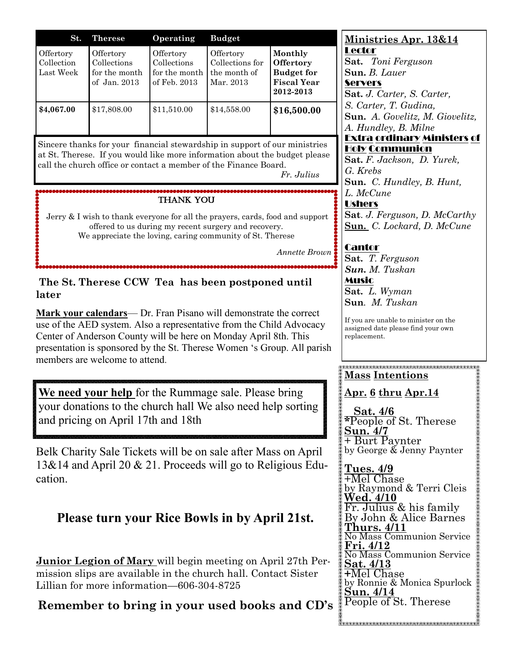| St.                                  | <b>Therese</b>                                              | Operating                                                 | <b>Budget</b>                                             |                                                                              |
|--------------------------------------|-------------------------------------------------------------|-----------------------------------------------------------|-----------------------------------------------------------|------------------------------------------------------------------------------|
| Offertory<br>Collection<br>Last Week | Offertory<br>Collections<br>for the month<br>of $Jan. 2013$ | Offertory<br>Collections<br>for the month<br>of Feb. 2013 | Offertory<br>Collections for<br>the month of<br>Mar. 2013 | Monthly<br>Offertory<br><b>Budget for</b><br><b>Fiscal Year</b><br>2012-2013 |
| \$4,067.00                           | \$17,808.00                                                 | \$11,510.00                                               | \$14,558.00                                               | \$16,500.00                                                                  |

Sincere thanks for your financial stewardship in support of our ministries at St. Therese. If you would like more information about the budget please call the church office or contact a member of the Finance Board.

*Fr. Julius*

## Thank You

Jerry & I wish to thank everyone for all the prayers, cards, food and support offered to us during my recent surgery and recovery. We appreciate the loving, caring community of St. Therese

*Annette Brown*

#### **The St. Therese CCW Tea has been postponed until later**

**Mark your calendars**— Dr. Fran Pisano will demonstrate the correct use of the AED system. Also a representative from the Child Advocacy Center of Anderson County will be here on Monday April 8th. This presentation is sponsored by the St. Therese Women 's Group. All parish members are welcome to attend.

**We need your help** for the Rummage sale. Please bring your donations to the church hall We also need help sorting and pricing on April 17th and 18th

Belk Charity Sale Tickets will be on sale after Mass on April 13&14 and April 20 & 21. Proceeds will go to Religious Education.

# **Please turn your Rice Bowls in by April 21st.**

**Junior Legion of Mary** will begin meeting on April 27th Permission slips are available in the church hall. Contact Sister Lillian for more information—606-304-8725

**Remember to bring in your used books and CD's**

**Ministries Apr. 13&14** Lector **Sat.** *Toni Ferguson*  **Sun.** *B. Lauer*  **Servers Sat.** *J. Carter, S. Carter, S. Carter, T. Gudina,*  **Sun.** *A. Govelitz, M. Giovelitz, A. Hundley, B. Milne*  Extra ordinary Ministers of Holy Communion **Sat.** *F. Jackson, D. Yurek, G. Krebs*  **Sun.** *C. Hundley, B. Hunt, L. McCune*  **Ushers** 

**Sat**. *J. Ferguson, D. McCarthy*  **Sun.** *C. Lockard, D. McCune* 

## Cantor

**Sat.** *T. Ferguson Sun. M. Tuskan*  Music **Sat.** *L. Wyman*  **Sun***. M. Tuskan* 

If you are unable to minister on the assigned date please find your own replacement.

#### <u> PARTALARA RARARARARARARARARARARA</u> **Mass Intentions**

**Apr. 6 thru Apr.14**

 **Sat. 4/6 \***People of St. Therese **Sun. 4/7** + Burt Paynter by George & Jenny Paynter

**Tues. 4/9** +Mel Chase by Raymond & Terri Cleis **Wed. 4/10**  Fr. Julius & his family By John & Alice Barnes **Thurs. 4/11** No Mass Communion Service **Fri. 4/12**  No Mass Communion Service **Sat. 4/13 +**Mel Chase by Ronnie & Monica Spurlock **Sun. 4/14** People of St. Therese

Karamananananananananananananananan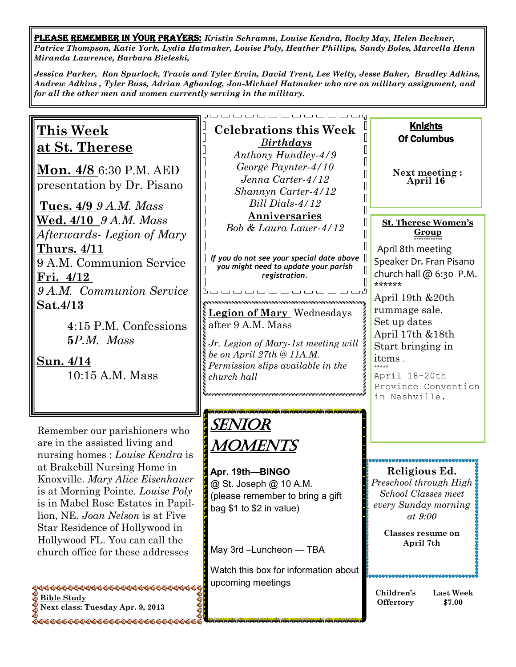PLEASE REMEMBER IN YOUR PRAYERS: *Kristin Schramm, Louise Kendra, Rocky May, Helen Beckner, Patrice Thompson, Katie York, Lydia Hatmaker, Louise Poly, Heather Phillips, Sandy Boles, Marcella Henn Miranda Lawrence, Barbara Bieleski,*

*Jessica Parker, Ron Spurlock, Travis and Tyler Ervin, David Trent, Lee Welty, Jesse Baker, Bradley Adkins, Andrew Adkins , Tyler Buss, Adrian Agbanlog, Jon-Michael Hatmaker who are on military assignment, and for all the other men and women currently serving in the military.* 

## **This Week at St. Therese**

**Mon. 4/8** 6:30 P.M. AED presentation by Dr. Pisano

**Tues. 4/9** *9 A.M. Mass*  **Wed. 4/10** *9 A.M. Mass Afterwards- Legion of Mary*  **Thurs. 4/11**  9 A.M. Communion Service **Fri. 4/12**  *9 A.M. Communion Service*  **Sat.4/13**

> **4**:15 P.M. Confessions **5***P.M. Mass*

**Sun. 4/14**  10:15 A.M. Mass

Remember our parishioners who are in the assisted living and nursing homes : *Louise Kendra* is at Brakebill Nursing Home in Knoxville. *Mary Alice Eisenhauer*  is at Morning Pointe. *Louise Poly*  is in Mabel Rose Estates in Papillion, NE. *Joan Nelson* is at Five Star Residence of Hollywood in Hollywood FL. You can call the church office for these addresses

**0000000000000000000000000000000 Bible Study Next class: Tuesday Apr. 9, 2013** 

500000000000000000000000000000

#### **Celebrations this Week** *Birthdays Anthony Hundley-4/9 George Paynter-4/10 Jenna Carter-4/12 Shannyn Carter-4/12 Bill Dials-4/12* **Anniversaries** *Bob & Laura Lauer-4/12*

*If you do not see your special date above you might need to update your parish registration.*

bo o o o o o o o o o o d

๛๛๛๛๛๛๛๛๛๛๛๛๛๛๛๛๛๛๛๛๛๛๛๛๛๛ **Legion of Mary** Wednesdays after 9 A.M. Mass

*Jr. Legion of Mary-1st meeting will be on April 27th @ 11A.M. Permission slips available in the church hall*

SENIOR **MOMENTS** 

**Apr. 19th—BINGO**  @ St. Joseph @ 10 A.M. (please remember to bring a gift bag \$1 to \$2 in value)

May 3rd –Luncheon — TBA

Watch this box for information about upcoming meetings

# **Next meeting : April 16**

Knights Of Columbus

Π Π I Π  $\overline{\mathbb{I}}$  $\overline{\mathbb{I}}$ 

 $\begin{bmatrix} 1 \\ 2 \end{bmatrix}$  $\mathbb{R}$  **St. Therese Women's Group**  *\*\*\*\*\*\*\*\*\*\*\*\** 

April 8th meeting Speaker Dr. Fran Pisano church hall  $@$  6:30 P.M. \*\*\*\*\*\*

April 19th &20th rummage sale. Set up dates April 17th &18th Start bringing in items . \*\*\*\*\*

April 18-20th Province Convention in Nashville.

#### ,,,,,,,,,,,,,,,,,,,,,,,,,,,,,, **Religious Ed.**

*Preschool through High School Classes meet every Sunday morning at 9:00* 

> **Classes resume on April 7th**

**Children's Offertory Last Week \$7.00**